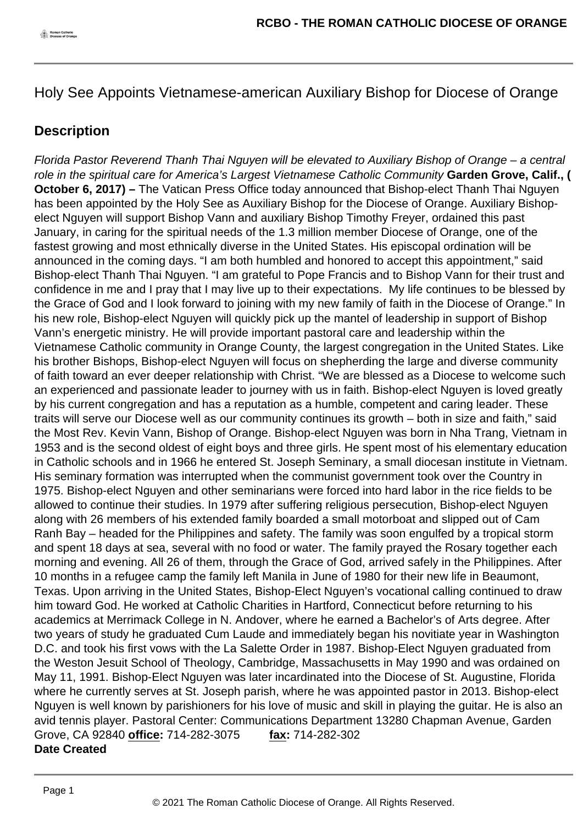Holy See Appoints Vietnamese-american Auxiliary Bishop for Diocese of Orange

## **Description**

Florida Pastor Reverend Thanh Thai Nguyen will be elevated to Auxiliary Bishop of Orange – a central role in the spiritual care for America's Largest Vietnamese Catholic Community **Garden Grove, Calif., ( October 6, 2017) –** The Vatican Press Office today announced that Bishop-elect Thanh Thai Nguyen has been appointed by the Holy See as Auxiliary Bishop for the Diocese of Orange. Auxiliary Bishopelect Nguyen will support Bishop Vann and auxiliary Bishop Timothy Freyer, ordained this past January, in caring for the spiritual needs of the 1.3 million member Diocese of Orange, one of the fastest growing and most ethnically diverse in the United States. His episcopal ordination will be announced in the coming days. "I am both humbled and honored to accept this appointment," said Bishop-elect Thanh Thai Nguyen. "I am grateful to Pope Francis and to Bishop Vann for their trust and confidence in me and I pray that I may live up to their expectations. My life continues to be blessed by the Grace of God and I look forward to joining with my new family of faith in the Diocese of Orange." In his new role, Bishop-elect Nguyen will quickly pick up the mantel of leadership in support of Bishop Vann's energetic ministry. He will provide important pastoral care and leadership within the Vietnamese Catholic community in Orange County, the largest congregation in the United States. Like his brother Bishops, Bishop-elect Nguyen will focus on shepherding the large and diverse community of faith toward an ever deeper relationship with Christ. "We are blessed as a Diocese to welcome such an experienced and passionate leader to journey with us in faith. Bishop-elect Nguyen is loved greatly by his current congregation and has a reputation as a humble, competent and caring leader. These traits will serve our Diocese well as our community continues its growth – both in size and faith," said the Most Rev. Kevin Vann, Bishop of Orange. Bishop-elect Nguyen was born in Nha Trang, Vietnam in 1953 and is the second oldest of eight boys and three girls. He spent most of his elementary education in Catholic schools and in 1966 he entered St. Joseph Seminary, a small diocesan institute in Vietnam. His seminary formation was interrupted when the communist government took over the Country in 1975. Bishop-elect Nguyen and other seminarians were forced into hard labor in the rice fields to be allowed to continue their studies. In 1979 after suffering religious persecution, Bishop-elect Nguyen along with 26 members of his extended family boarded a small motorboat and slipped out of Cam Ranh Bay – headed for the Philippines and safety. The family was soon engulfed by a tropical storm and spent 18 days at sea, several with no food or water. The family prayed the Rosary together each morning and evening. All 26 of them, through the Grace of God, arrived safely in the Philippines. After 10 months in a refugee camp the family left Manila in June of 1980 for their new life in Beaumont, Texas. Upon arriving in the United States, Bishop-Elect Nguyen's vocational calling continued to draw him toward God. He worked at Catholic Charities in Hartford, Connecticut before returning to his academics at Merrimack College in N. Andover, where he earned a Bachelor's of Arts degree. After two years of study he graduated Cum Laude and immediately began his novitiate year in Washington D.C. and took his first vows with the La Salette Order in 1987. Bishop-Elect Nguyen graduated from the Weston Jesuit School of Theology, Cambridge, Massachusetts in May 1990 and was ordained on May 11, 1991. Bishop-Elect Nguyen was later incardinated into the Diocese of St. Augustine, Florida where he currently serves at St. Joseph parish, where he was appointed pastor in 2013. Bishop-elect Nguyen is well known by parishioners for his love of music and skill in playing the guitar. He is also an avid tennis player. Pastoral Center: Communications Department 13280 Chapman Avenue, Garden Grove, CA 92840 **office:** 714-282-3075 **fax:** 714-282-302 **Date Created**